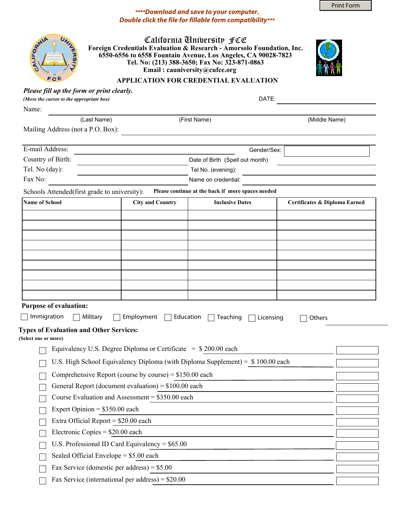Print Form

## *\*\*\*\*Download and save to your computer. Double click the file for fillable form compatibility\*\*\**

| UNIL |
|------|
|      |
|      |
| ٠    |

California University FCE **Foreign Credentials Evaluation & Research - Amorsolo Foundation, Inc. 6550-6556 to 6558 Fountain Avenue, Los Angeles, CA 90028-7823 Tel. No: (213) 388-3650; Fax No: 323-871-0863 Email : cauniversity@cufce.org**



## **APPLICATION FOR CREDENTIAL EVALUATION**

| Please fill up the form or print clearly. |  |
|-------------------------------------------|--|
| (Move the cursor to the appropriate box)  |  |

DATE:

Name:

(Last Name)

(First Name) (Middle Name)

Mailing Address (not a P.O. Box):

| E-mail Address:          | Gender/Sex:                     |  |
|--------------------------|---------------------------------|--|
| Country of Birth:        | Date of Birth (Spell out month) |  |
| Tel. No $(\text{day})$ : | Tel No. (evening):              |  |
| Fax No:                  | Name on credential:             |  |

Schools Attended(first grade to university): Please continue at the back if more spaces needed

| Name of School | <b>City and Country</b> | <b>Inclusive Dates</b> | Certificates & Diploma Earned |
|----------------|-------------------------|------------------------|-------------------------------|
|                |                         |                        |                               |
|                |                         |                        |                               |
|                |                         |                        |                               |
|                |                         |                        |                               |
|                |                         |                        |                               |
|                |                         |                        |                               |
|                |                         |                        |                               |
|                |                         |                        |                               |
|                |                         |                        |                               |

## **Purpose of evaluation:**

| Immigration<br>Military<br>Employment<br>Education<br>Teaching<br>Licensing<br>Others |                               |
|---------------------------------------------------------------------------------------|-------------------------------|
| <b>Types of Evaluation and Other Services:</b><br>(Select one or more)                |                               |
| Equivalency U.S. Degree Diploma or Certificate $=$ \$200.00 each                      | $ \blacktriangledown $        |
| U.S. High School Equivalency Diploma (with Diploma Supplement) = $$100.00$ each       | $\vert \textbf{v} \vert$      |
| Comprehensive Report (course by course) = $$150.00$ each                              | $\vert \mathbf{v} \vert$      |
| General Report (document evaluation) = $$100.00$ each                                 | $\blacktriangleright$         |
| Course Evaluation and Assessment = $$350.00$ each                                     | $\vert \bullet \vert$         |
| Expert Opinion = $$350.00$ each                                                       | $\blacksquare$                |
| Extra Official Report = $$20.00$ each                                                 | $\blacksquare$                |
| Electronic Copies = $$20.00$ each                                                     | $\boxed{\blacktriangleright}$ |
| U.S. Professional ID Card Equivalency = $$65.00$                                      | $\vert \mathbf{v} \vert$      |
| Sealed Official Envelope $= $5.00$ each                                               | $\vert \mathbf{F} \vert$      |
| Fax Service (domestic per address) = $$5.00$                                          | $\blacksquare$                |
| Fax Service (international per address) = $$20.00$                                    | $\vert \bm{\nabla} \vert$     |
|                                                                                       |                               |